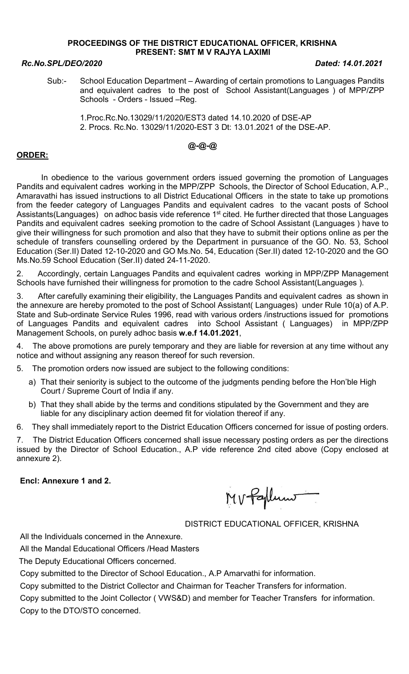### PROCEEDINGS OF THE DISTRICT EDUCATIONAL OFFICER, KRISHNA PRESENT: SMT M V RAJYA LAXIMI

### Rc.No.SPL/DEO/2020 Dated: 14.01.2021

Sub:- School Education Department – Awarding of certain promotions to Languages Pandits and equivalent cadres to the post of School Assistant(Languages ) of MPP/ZPP Schools - Orders - Issued –Reg.

 1.Proc.Rc.No.13029/11/2020/EST3 dated 14.10.2020 of DSE-AP 2. Procs. Rc.No. 13029/11/2020-EST 3 Dt: 13.01.2021 of the DSE-AP.

# @-@-@

## ORDER:

 In obedience to the various government orders issued governing the promotion of Languages Pandits and equivalent cadres working in the MPP/ZPP Schools, the Director of School Education, A.P., Amaravathi has issued instructions to all District Educational Officers in the state to take up promotions from the feeder category of Languages Pandits and equivalent cadres to the vacant posts of School Assistants(Languages) on adhoc basis vide reference 1<sup>st</sup> cited. He further directed that those Languages Pandits and equivalent cadres seeking promotion to the cadre of School Assistant (Languages ) have to give their willingness for such promotion and also that they have to submit their options online as per the schedule of transfers counselling ordered by the Department in pursuance of the GO. No. 53, School Education (Ser.II) Dated 12-10-2020 and GO Ms.No. 54, Education (Ser.II) dated 12-10-2020 and the GO Ms.No.59 School Education (Ser.II) dated 24-11-2020.

2. Accordingly, certain Languages Pandits and equivalent cadres working in MPP/ZPP Management Schools have furnished their willingness for promotion to the cadre School Assistant(Languages ).

3. After carefully examining their eligibility, the Languages Pandits and equivalent cadres as shown in the annexure are hereby promoted to the post of School Assistant( Languages) under Rule 10(a) of A.P. State and Sub-ordinate Service Rules 1996, read with various orders /instructions issued for promotions of Languages Pandits and equivalent cadres into School Assistant ( Languages) in MPP/ZPP Management Schools, on purely adhoc basis w.e.f 14.01.2021,

4. The above promotions are purely temporary and they are liable for reversion at any time without any notice and without assigning any reason thereof for such reversion.

5. The promotion orders now issued are subject to the following conditions:

- a) That their seniority is subject to the outcome of the judgments pending before the Hon'ble High Court / Supreme Court of India if any.
- b) That they shall abide by the terms and conditions stipulated by the Government and they are liable for any disciplinary action deemed fit for violation thereof if any.

6. They shall immediately report to the District Education Officers concerned for issue of posting orders.

7. The District Education Officers concerned shall issue necessary posting orders as per the directions issued by the Director of School Education., A.P vide reference 2nd cited above (Copy enclosed at annexure 2).

### Encl: Annexure 1 and 2.

MV Paplum

DISTRICT EDUCATIONAL OFFICER, KRISHNA

All the Individuals concerned in the Annexure.

All the Mandal Educational Officers /Head Masters

The Deputy Educational Officers concerned.

Copy submitted to the Director of School Education., A.P Amarvathi for information.

Copy submitted to the District Collector and Chairman for Teacher Transfers for information.

Copy submitted to the Joint Collector ( VWS&D) and member for Teacher Transfers for information. Copy to the DTO/STO concerned.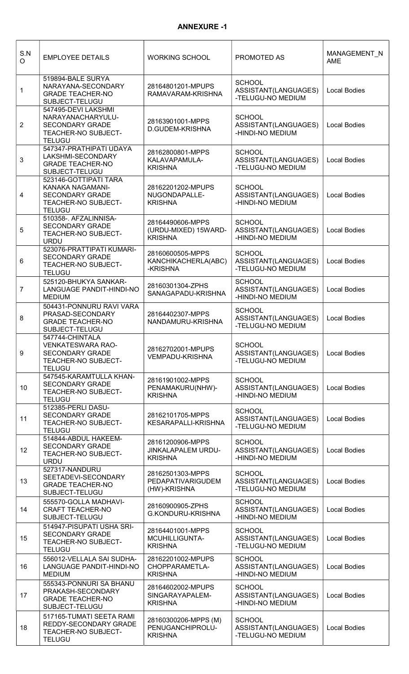### ANNEXURE -1

| S.N<br>O                | <b>EMPLOYEE DETAILS</b>                                                                                       | <b>WORKING SCHOOL</b>                                      | PROMOTED AS                                                | MANAGEMENT_N<br><b>AME</b> |
|-------------------------|---------------------------------------------------------------------------------------------------------------|------------------------------------------------------------|------------------------------------------------------------|----------------------------|
| 1                       | 519894-BALE SURYA<br>NARAYANA-SECONDARY<br><b>GRADE TEACHER-NO</b><br>SUBJECT-TELUGU                          | 28164801201-MPUPS<br>RAMAVARAM-KRISHNA                     | <b>SCHOOL</b><br>ASSISTANT(LANGUAGES)<br>-TELUGU-NO MEDIUM | <b>Local Bodies</b>        |
| $\overline{2}$          | 547495-DEVI LAKSHMI<br>NARAYANACHARYULU-<br><b>SECONDARY GRADE</b><br>TEACHER-NO SUBJECT-<br><b>TELUGU</b>    | 28163901001-MPPS<br>D.GUDEM-KRISHNA                        | <b>SCHOOL</b><br>ASSISTANT(LANGUAGES)<br>-HINDI-NO MEDIUM  | <b>Local Bodies</b>        |
| 3                       | 547347-PRATHIPATI UDAYA<br>LAKSHMI-SECONDARY<br><b>GRADE TEACHER-NO</b><br>SUBJECT-TELUGU                     | 28162800801-MPPS<br>KALAVAPAMULA-<br><b>KRISHNA</b>        | <b>SCHOOL</b><br>ASSISTANT(LANGUAGES)<br>-TELUGU-NO MEDIUM | <b>Local Bodies</b>        |
| $\overline{\mathbf{4}}$ | 523146-GOTTIPATI TARA<br>KANAKA NAGAMANI-<br><b>SECONDARY GRADE</b><br>TEACHER-NO SUBJECT-<br><b>TELUGU</b>   | 28162201202-MPUPS<br>NUGONDAPALLE-<br><b>KRISHNA</b>       | <b>SCHOOL</b><br>ASSISTANT(LANGUAGES)<br>-HINDI-NO MEDIUM  | <b>Local Bodies</b>        |
| 5                       | 510358-. AFZALINNISA-<br><b>SECONDARY GRADE</b><br>TEACHER-NO SUBJECT-<br><b>URDU</b>                         | 28164490606-MPPS<br>(URDU-MIXED) 15WARD-<br><b>KRISHNA</b> | <b>SCHOOL</b><br>ASSISTANT(LANGUAGES)<br>-HINDI-NO MEDIUM  | <b>Local Bodies</b>        |
| 6                       | 523076-PRATTIPATI KUMARI-<br><b>SECONDARY GRADE</b><br>TEACHER-NO SUBJECT-<br><b>TELUGU</b>                   | 28160600505-MPPS<br>KANCHIKACHERLA(ABC)<br>-KRISHNA        | <b>SCHOOL</b><br>ASSISTANT(LANGUAGES)<br>-TELUGU-NO MEDIUM | <b>Local Bodies</b>        |
| $\overline{7}$          | 525120-BHUKYA SANKAR-<br>LANGUAGE PANDIT-HINDI-NO<br><b>MEDIUM</b>                                            | 28160301304-ZPHS<br>SANAGAPADU-KRISHNA                     | <b>SCHOOL</b><br>ASSISTANT(LANGUAGES)<br>-HINDI-NO MEDIUM  | <b>Local Bodies</b>        |
| 8                       | 504431-PONNURU RAVI VARA<br>PRASAD-SECONDARY<br><b>GRADE TEACHER-NO</b><br>SUBJECT-TELUGU                     | 28164402307-MPPS<br>NANDAMURU-KRISHNA                      | <b>SCHOOL</b><br>ASSISTANT(LANGUAGES)<br>-TELUGU-NO MEDIUM | <b>Local Bodies</b>        |
| $\boldsymbol{9}$        | 547744-CHINTALA<br><b>VENKATESWARA RAO-</b><br><b>SECONDARY GRADE</b><br>TEACHER-NO SUBJECT-<br><b>TELUGU</b> | 28162702001-MPUPS<br><b>VEMPADU-KRISHNA</b>                | <b>SCHOOL</b><br>ASSISTANT(LANGUAGES)<br>-TELUGU-NO MEDIUM | <b>Local Bodies</b>        |
| 10 <sup>°</sup>         | 547545-KARAMTULLA KHAN-<br><b>SECONDARY GRADE</b><br>TEACHER-NO SUBJECT-<br><b>TELUGU</b>                     | 28161901002-MPPS<br>PENAMAKURU(NHW)-<br><b>KRISHNA</b>     | <b>SCHOOL</b><br>ASSISTANT(LANGUAGES)<br>-HINDI-NO MEDIUM  | <b>Local Bodies</b>        |
| 11                      | 512385-PERLI DASU-<br><b>SECONDARY GRADE</b><br><b>TEACHER-NO SUBJECT-</b><br><b>TELUGU</b>                   | 28162101705-MPPS<br>KESARAPALLI-KRISHNA                    | <b>SCHOOL</b><br>ASSISTANT(LANGUAGES)<br>-TELUGU-NO MEDIUM | <b>Local Bodies</b>        |
| 12                      | 514844-ABDUL HAKEEM-<br><b>SECONDARY GRADE</b><br>TEACHER-NO SUBJECT-<br><b>URDU</b>                          | 28161200906-MPPS<br>JINKALAPALEM URDU-<br><b>KRISHNA</b>   | <b>SCHOOL</b><br>ASSISTANT(LANGUAGES)<br>-HINDI-NO MEDIUM  | <b>Local Bodies</b>        |
| 13                      | 527317-NANDURU<br>SEETADEVI-SECONDARY<br><b>GRADE TEACHER-NO</b><br>SUBJECT-TELUGU                            | 28162501303-MPPS<br>PEDAPATIVARIGUDEM<br>(HW)-KRISHNA      | <b>SCHOOL</b><br>ASSISTANT(LANGUAGES)<br>-TELUGU-NO MEDIUM | <b>Local Bodies</b>        |
| 14                      | 555570-GOLLA MADHAVI-<br><b>CRAFT TEACHER-NO</b><br>SUBJECT-TELUGU                                            | 28160900905-ZPHS<br>G.KONDURU-KRISHNA                      | <b>SCHOOL</b><br>ASSISTANT(LANGUAGES)<br>-HINDI-NO MEDIUM  | <b>Local Bodies</b>        |
| 15                      | 514947-PISUPATI USHA SRI-<br><b>SECONDARY GRADE</b><br>TEACHER-NO SUBJECT-<br><b>TELUGU</b>                   | 28164401001-MPPS<br>MCUHILLIGUNTA-<br><b>KRISHNA</b>       | <b>SCHOOL</b><br>ASSISTANT(LANGUAGES)<br>-TELUGU-NO MEDIUM | <b>Local Bodies</b>        |
| 16                      | 556012-VELLALA SAI SUDHA-<br>LANGUAGE PANDIT-HINDI-NO<br><b>MEDIUM</b>                                        | 28162201002-MPUPS<br>CHOPPARAMETLA-<br><b>KRISHNA</b>      | <b>SCHOOL</b><br>ASSISTANT(LANGUAGES)<br>-HINDI-NO MEDIUM  | <b>Local Bodies</b>        |
| 17                      | 555343-PONNURI SA BHANU<br>PRAKASH-SECONDARY<br><b>GRADE TEACHER-NO</b><br>SUBJECT-TELUGU                     | 28164602002-MPUPS<br>SINGARAYAPALEM-<br><b>KRISHNA</b>     | <b>SCHOOL</b><br>ASSISTANT(LANGUAGES)<br>-HINDI-NO MEDIUM  | <b>Local Bodies</b>        |
| 18                      | 517165-TUMATI SEETA RAMI<br>REDDY-SECONDARY GRADE<br>TEACHER-NO SUBJECT-<br><b>TELUGU</b>                     | 28160300206-MPPS (M)<br>PENUGANCHIPROLU-<br><b>KRISHNA</b> | <b>SCHOOL</b><br>ASSISTANT(LANGUAGES)<br>-TELUGU-NO MEDIUM | <b>Local Bodies</b>        |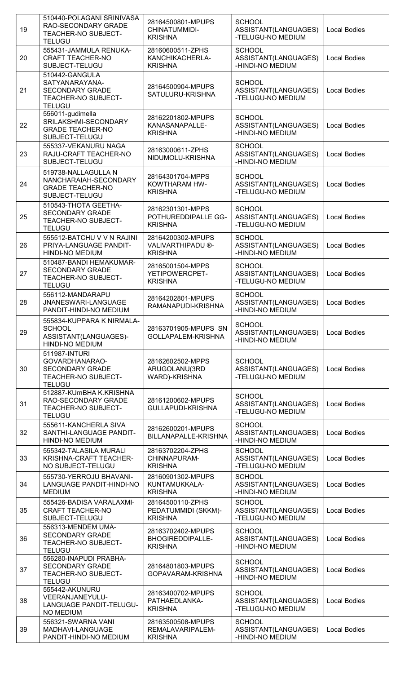| 19 | 510440-POLAGANI SRINIVASA<br>RAO-SECONDARY GRADE<br>TEACHER-NO SUBJECT-<br><b>TELUGU</b>           | 28164500801-MPUPS<br>CHINATUMMIDI-<br><b>KRISHNA</b>           | <b>SCHOOL</b><br>ASSISTANT(LANGUAGES)<br>-TELUGU-NO MEDIUM | <b>Local Bodies</b> |
|----|----------------------------------------------------------------------------------------------------|----------------------------------------------------------------|------------------------------------------------------------|---------------------|
| 20 | 555431-JAMMULA RENUKA-<br><b>CRAFT TEACHER-NO</b><br>SUBJECT-TELUGU                                | 28160600511-ZPHS<br>KANCHIKACHERLA-<br><b>KRISHNA</b>          | <b>SCHOOL</b><br>ASSISTANT(LANGUAGES)<br>-HINDI-NO MEDIUM  | <b>Local Bodies</b> |
| 21 | 510442-GANGULA<br>SATYANARAYANA-<br><b>SECONDARY GRADE</b><br>TEACHER-NO SUBJECT-<br><b>TELUGU</b> | 28164500904-MPUPS<br>SATULURU-KRISHNA                          | <b>SCHOOL</b><br>ASSISTANT(LANGUAGES)<br>-TELUGU-NO MEDIUM | <b>Local Bodies</b> |
| 22 | 556011-gudimella<br>SRILAKSHMI-SECONDARY<br><b>GRADE TEACHER-NO</b><br>SUBJECT-TELUGU              | 28162201802-MPUPS<br>KANASANAPALLE-<br><b>KRISHNA</b>          | <b>SCHOOL</b><br>ASSISTANT(LANGUAGES)<br>-HINDI-NO MEDIUM  | <b>Local Bodies</b> |
| 23 | 555337-VEKANURU NAGA<br>RAJU-CRAFT TEACHER-NO<br>SUBJECT-TELUGU                                    | 28163000611-ZPHS<br>NIDUMOLU-KRISHNA                           | <b>SCHOOL</b><br>ASSISTANT(LANGUAGES)<br>-HINDI-NO MEDIUM  | <b>Local Bodies</b> |
| 24 | 519738-NALLAGULLA N<br>NANCHARAIAH-SECONDARY<br><b>GRADE TEACHER-NO</b><br>SUBJECT-TELUGU          | 28164301704-MPPS<br>KOWTHARAM HW-<br><b>KRISHNA</b>            | <b>SCHOOL</b><br>ASSISTANT(LANGUAGES)<br>-TELUGU-NO MEDIUM | <b>Local Bodies</b> |
| 25 | 510543-THOTA GEETHA-<br><b>SECONDARY GRADE</b><br>TEACHER-NO SUBJECT-<br><b>TELUGU</b>             | 28162301301-MPPS<br>POTHUREDDIPALLE GG-<br><b>KRISHNA</b>      | <b>SCHOOL</b><br>ASSISTANT(LANGUAGES)<br>-TELUGU-NO MEDIUM | <b>Local Bodies</b> |
| 26 | 555512-BATCHU V V N RAJINI<br>PRIYA-LANGUAGE PANDIT-<br>HINDI-NO MEDIUM                            | 28164200302-MPUPS<br>VALIVARTHIPADU ®-<br><b>KRISHNA</b>       | <b>SCHOOL</b><br>ASSISTANT(LANGUAGES)<br>-HINDI-NO MEDIUM  | <b>Local Bodies</b> |
| 27 | 510487-BANDI HEMAKUMAR-<br><b>SECONDARY GRADE</b><br>TEACHER-NO SUBJECT-<br><b>TELUGU</b>          | 28165001504-MPPS<br>YETIPOWERCPET-<br><b>KRISHNA</b>           | <b>SCHOOL</b><br>ASSISTANT(LANGUAGES)<br>-TELUGU-NO MEDIUM | <b>Local Bodies</b> |
| 28 | 556112-MANDARAPU<br>JNANESWARI-LANGUAGE<br>PANDIT-HINDI-NO MEDIUM                                  | 28164202801-MPUPS<br>RAMANAPUDI-KRISHNA                        | <b>SCHOOL</b><br>ASSISTANT(LANGUAGES)<br>-HINDI-NO MEDIUM  | <b>Local Bodies</b> |
| 29 | 555834-KUPPARA K NIRMALA-<br><b>SCHOOL</b><br>ASSISTANT(LANGUAGES)-<br>HINDI-NO MEDIUM             | 28163701905-MPUPS SN<br>GOLLAPALEM-KRISHNA                     | <b>SCHOOL</b><br>ASSISTANT(LANGUAGES)<br>-HINDI-NO MEDIUM  | <b>Local Bodies</b> |
| 30 | 511987-INTURI<br>GOVARDHANARAO-<br><b>SECONDARY GRADE</b><br>TEACHER-NO SUBJECT-<br><b>TELUGU</b>  | 28162602502-MPPS<br>ARUGOLANU(3RD<br><b>WARD)-KRISHNA</b>      | <b>SCHOOL</b><br>ASSISTANT(LANGUAGES)<br>-TELUGU-NO MEDIUM | <b>Local Bodies</b> |
| 31 | 512887-KUmBHA K.KRISHNA<br>RAO-SECONDARY GRADE<br>TEACHER-NO SUBJECT-<br><b>TELUGU</b>             | 28161200602-MPUPS<br><b>GULLAPUDI-KRISHNA</b>                  | <b>SCHOOL</b><br>ASSISTANT(LANGUAGES)<br>-TELUGU-NO MEDIUM | <b>Local Bodies</b> |
| 32 | 555611-KANCHERLA SIVA<br>SANTHI-LANGUAGE PANDIT-<br><b>HINDI-NO MEDIUM</b>                         | 28162600201-MPUPS<br>BILLANAPALLE-KRISHNA                      | <b>SCHOOL</b><br>ASSISTANT(LANGUAGES)<br>-HINDI-NO MEDIUM  | <b>Local Bodies</b> |
| 33 | 555342-TALASILA MURALI<br>KRISHNA-CRAFT TEACHER-<br>NO SUBJECT-TELUGU                              | 28163702204-ZPHS<br>CHINNAPURAM-<br><b>KRISHNA</b>             | <b>SCHOOL</b><br>ASSISTANT(LANGUAGES)<br>-TELUGU-NO MEDIUM | <b>Local Bodies</b> |
| 34 | 555730-YERROJU BHAVANI-<br>LANGUAGE PANDIT-HINDI-NO<br><b>MEDIUM</b>                               | 28160901302-MPUPS<br>KUNTAMUKKALA-<br><b>KRISHNA</b>           | <b>SCHOOL</b><br>ASSISTANT(LANGUAGES)<br>-HINDI-NO MEDIUM  | <b>Local Bodies</b> |
| 35 | 555426-BADISA VARALAXMI-<br><b>CRAFT TEACHER-NO</b><br>SUBJECT-TELUGU                              | 28164500110-ZPHS<br>PEDATUMMIDI (SKKM)-<br><b>KRISHNA</b>      | <b>SCHOOL</b><br>ASSISTANT(LANGUAGES)<br>-TELUGU-NO MEDIUM | <b>Local Bodies</b> |
| 36 | 556313-MENDEM UMA-<br><b>SECONDARY GRADE</b><br><b>TEACHER-NO SUBJECT-</b><br><b>TELUGU</b>        | 28163702402-MPUPS<br><b>BHOGIREDDIPALLE-</b><br><b>KRISHNA</b> | <b>SCHOOL</b><br>ASSISTANT(LANGUAGES)<br>-HINDI-NO MEDIUM  | <b>Local Bodies</b> |
| 37 | 556280-INAPUDI PRABHA-<br><b>SECONDARY GRADE</b><br>TEACHER-NO SUBJECT-<br><b>TELUGU</b>           | 28164801803-MPUPS<br>GOPAVARAM-KRISHNA                         | <b>SCHOOL</b><br>ASSISTANT(LANGUAGES)<br>-HINDI-NO MEDIUM  | <b>Local Bodies</b> |
| 38 | 555442-AKUNURU<br>VEERANJANEYULU-<br>LANGUAGE PANDIT-TELUGU-<br><b>NO MEDIUM</b>                   | 28163400702-MPUPS<br>PATHAEDLANKA-<br><b>KRISHNA</b>           | <b>SCHOOL</b><br>ASSISTANT(LANGUAGES)<br>-TELUGU-NO MEDIUM | <b>Local Bodies</b> |
| 39 | 556321-SWARNA VANI<br>MADHAVI-LANGUAGE<br>PANDIT-HINDI-NO MEDIUM                                   | 28163500508-MPUPS<br>REMALAVARIPALEM-<br><b>KRISHNA</b>        | <b>SCHOOL</b><br>ASSISTANT(LANGUAGES)<br>-HINDI-NO MEDIUM  | <b>Local Bodies</b> |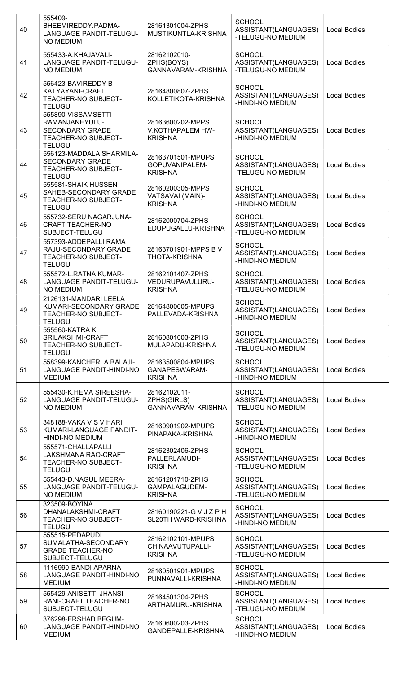| 40 | 555409-<br>BHEEMIREDDY.PADMA-<br>LANGUAGE PANDIT-TELUGU-<br><b>NO MEDIUM</b>                           | 28161301004-ZPHS<br>MUSTIKUNTLA-KRISHNA                 | <b>SCHOOL</b><br>ASSISTANT(LANGUAGES)<br>-TELUGU-NO MEDIUM | <b>Local Bodies</b> |
|----|--------------------------------------------------------------------------------------------------------|---------------------------------------------------------|------------------------------------------------------------|---------------------|
| 41 | 555433-A.KHAJAVALI-<br>LANGUAGE PANDIT-TELUGU-<br><b>NO MEDIUM</b>                                     | 28162102010-<br>ZPHS(BOYS)<br>GANNAVARAM-KRISHNA        | <b>SCHOOL</b><br>ASSISTANT(LANGUAGES)<br>-TELUGU-NO MEDIUM | <b>Local Bodies</b> |
| 42 | 556423-BAVIREDDY B<br>KATYAYANI-CRAFT<br>TEACHER-NO SUBJECT-<br><b>TELUGU</b>                          | 28164800807-ZPHS<br>KOLLETIKOTA-KRISHNA                 | <b>SCHOOL</b><br>ASSISTANT(LANGUAGES)<br>-HINDI-NO MEDIUM  | <b>Local Bodies</b> |
| 43 | 555890-VISSAMSETTI<br>RAMANJANEYULU-<br><b>SECONDARY GRADE</b><br>TEACHER-NO SUBJECT-<br><b>TELUGU</b> | 28163600202-MPPS<br>V.KOTHAPALEM HW-<br><b>KRISHNA</b>  | <b>SCHOOL</b><br>ASSISTANT(LANGUAGES)<br>-HINDI-NO MEDIUM  | <b>Local Bodies</b> |
| 44 | 556123-MADDALA SHARMILA-<br><b>SECONDARY GRADE</b><br>TEACHER-NO SUBJECT-<br><b>TELUGU</b>             | 28163701501-MPUPS<br>GOPUVANIPALEM-<br><b>KRISHNA</b>   | <b>SCHOOL</b><br>ASSISTANT(LANGUAGES)<br>-TELUGU-NO MEDIUM | <b>Local Bodies</b> |
| 45 | 555581-SHAIK HUSSEN<br>SAHEB-SECONDARY GRADE<br>TEACHER-NO SUBJECT-<br><b>TELUGU</b>                   | 28160200305-MPPS<br>VATSAVAI (MAIN)-<br><b>KRISHNA</b>  | <b>SCHOOL</b><br>ASSISTANT(LANGUAGES)<br>-HINDI-NO MEDIUM  | <b>Local Bodies</b> |
| 46 | 555732-SERU NAGARJUNA-<br><b>CRAFT TEACHER-NO</b><br>SUBJECT-TELUGU                                    | 28162000704-ZPHS<br>EDUPUGALLU-KRISHNA                  | <b>SCHOOL</b><br>ASSISTANT(LANGUAGES)<br>-TELUGU-NO MEDIUM | <b>Local Bodies</b> |
| 47 | 557393-ADDEPALLI RAMA<br>RAJU-SECONDARY GRADE<br>TEACHER-NO SUBJECT-<br><b>TELUGU</b>                  | 28163701901-MPPS BV<br><b>THOTA-KRISHNA</b>             | <b>SCHOOL</b><br>ASSISTANT(LANGUAGES)<br>-HINDI-NO MEDIUM  | <b>Local Bodies</b> |
| 48 | 555572-L.RATNA KUMAR-<br>LANGUAGE PANDIT-TELUGU-<br><b>NO MEDIUM</b>                                   | 28162101407-ZPHS<br>VEDURUPAVULURU-<br><b>KRISHNA</b>   | <b>SCHOOL</b><br>ASSISTANT(LANGUAGES)<br>-TELUGU-NO MEDIUM | <b>Local Bodies</b> |
| 49 | 2126131-MANDARI LEELA<br>KUMARI-SECONDARY GRADE<br>TEACHER-NO SUBJECT-<br><b>TELUGU</b>                | 28164800605-MPUPS<br>PALLEVADA-KRISHNA                  | <b>SCHOOL</b><br>ASSISTANT(LANGUAGES)<br>-HINDI-NO MEDIUM  | <b>Local Bodies</b> |
| 50 | 555560-KATRA K<br>SRILAKSHMI-CRAFT<br>TEACHER-NO SUBJECT-<br><b>TELUGU</b>                             | 28160801003-ZPHS<br>MULAPADU-KRISHNA                    | <b>SCHOOL</b><br>ASSISTANT(LANGUAGES)<br>-TELUGU-NO MEDIUM | <b>Local Bodies</b> |
| 51 | 558399-KANCHERLA BALAJI-<br>LANGUAGE PANDIT-HINDI-NO<br><b>MEDIUM</b>                                  | 28163500804-MPUPS<br>GANAPESWARAM-<br><b>KRISHNA</b>    | <b>SCHOOL</b><br>ASSISTANT(LANGUAGES)<br>-HINDI-NO MEDIUM  | <b>Local Bodies</b> |
| 52 | 555430-K.HEMA SIREESHA-<br>LANGUAGE PANDIT-TELUGU-<br><b>NO MEDIUM</b>                                 | 28162102011-<br>ZPHS(GIRLS)<br>GANNAVARAM-KRISHNA       | <b>SCHOOL</b><br>ASSISTANT(LANGUAGES)<br>-TELUGU-NO MEDIUM | <b>Local Bodies</b> |
| 53 | 348188-VAKA V S V HARI<br>KUMARI-LANGUAGE PANDIT-<br>HINDI-NO MEDIUM                                   | 28160901902-MPUPS<br>PINAPAKA-KRISHNA                   | <b>SCHOOL</b><br>ASSISTANT(LANGUAGES)<br>-HINDI-NO MEDIUM  | <b>Local Bodies</b> |
| 54 | 555571-CHALLAPALLI<br>LAKSHMANA RAO-CRAFT<br>TEACHER-NO SUBJECT-<br><b>TELUGU</b>                      | 28162302406-ZPHS<br>PALLERLAMUDI-<br><b>KRISHNA</b>     | <b>SCHOOL</b><br>ASSISTANT(LANGUAGES)<br>-TELUGU-NO MEDIUM | <b>Local Bodies</b> |
| 55 | 555443-D.NAGUL MEERA-<br>LANGUAGE PANDIT-TELUGU-<br><b>NO MEDIUM</b>                                   | 28161201710-ZPHS<br>GAMPALAGUDEM-<br><b>KRISHNA</b>     | <b>SCHOOL</b><br>ASSISTANT(LANGUAGES)<br>-TELUGU-NO MEDIUM | <b>Local Bodies</b> |
| 56 | 323509-BOYINA<br>DHANALAKSHMI-CRAFT<br>TEACHER-NO SUBJECT-<br><b>TELUGU</b>                            | 28160190221-G V J Z P H<br>SL20TH WARD-KRISHNA          | <b>SCHOOL</b><br>ASSISTANT(LANGUAGES)<br>-HINDI-NO MEDIUM  | <b>Local Bodies</b> |
| 57 | 555515-PEDAPUDI<br>SUMALATHA-SECONDARY<br><b>GRADE TEACHER-NO</b><br>SUBJECT-TELUGU                    | 28162102101-MPUPS<br>CHINAAVUTUPALLI-<br><b>KRISHNA</b> | <b>SCHOOL</b><br>ASSISTANT(LANGUAGES)<br>-TELUGU-NO MEDIUM | <b>Local Bodies</b> |
| 58 | 1116990-BANDI APARNA-<br>LANGUAGE PANDIT-HINDI-NO<br><b>MEDIUM</b>                                     | 28160501901-MPUPS<br>PUNNAVALLI-KRISHNA                 | <b>SCHOOL</b><br>ASSISTANT(LANGUAGES)<br>-HINDI-NO MEDIUM  | <b>Local Bodies</b> |
| 59 | 555429-ANISETTI JHANSI<br>RANI-CRAFT TEACHER-NO<br>SUBJECT-TELUGU                                      | 28164501304-ZPHS<br>ARTHAMURU-KRISHNA                   | <b>SCHOOL</b><br>ASSISTANT(LANGUAGES)<br>-TELUGU-NO MEDIUM | <b>Local Bodies</b> |
| 60 | 376298-ERSHAD BEGUM-<br>LANGUAGE PANDIT-HINDI-NO<br><b>MEDIUM</b>                                      | 28160600203-ZPHS<br>GANDEPALLE-KRISHNA                  | <b>SCHOOL</b><br>ASSISTANT(LANGUAGES)<br>-HINDI-NO MEDIUM  | <b>Local Bodies</b> |